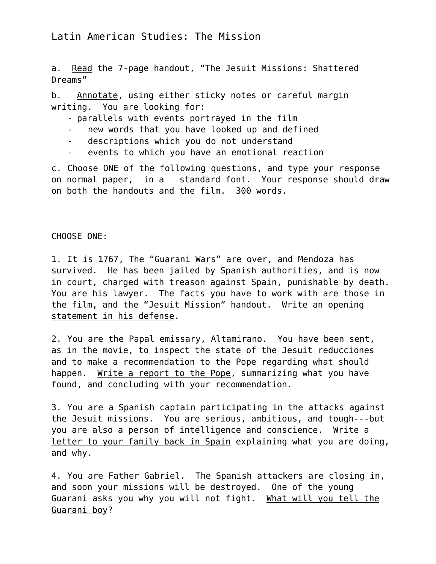a. Read the 7-page handout, "The Jesuit Missions: Shattered Dreams"

b. Annotate, using either sticky notes or careful margin writing. You are looking for:

- parallels with events portrayed in the film
- new words that you have looked up and defined
- descriptions which you do not understand
- events to which you have an emotional reaction

c. Choose ONE of the following questions, and type your response on normal paper, in a standard font. Your response should draw on both the handouts and the film. 300 words.

## CHOOSE ONE:

1. It is 1767, The "Guarani Wars" are over, and Mendoza has survived. He has been jailed by Spanish authorities, and is now in court, charged with treason against Spain, punishable by death. You are his lawyer. The facts you have to work with are those in the film, and the "Jesuit Mission" handout. Write an opening statement in his defense.

2. You are the Papal emissary, Altamirano. You have been sent, as in the movie, to inspect the state of the Jesuit *reducciones* and to make a recommendation to the Pope regarding what should happen. Write a report to the Pope, summarizing what you have found, and concluding with your recommendation.

3. You are a Spanish captain participating in the attacks against the Jesuit missions. You are serious, ambitious, and tough---but you are also a person of intelligence and conscience. Write a letter to your family back in Spain explaining what you are doing, and why.

4. You are Father Gabriel. The Spanish attackers are closing in, and soon your missions will be destroyed. One of the young Guarani asks you why you will not fight. What will you tell the Guarani boy?